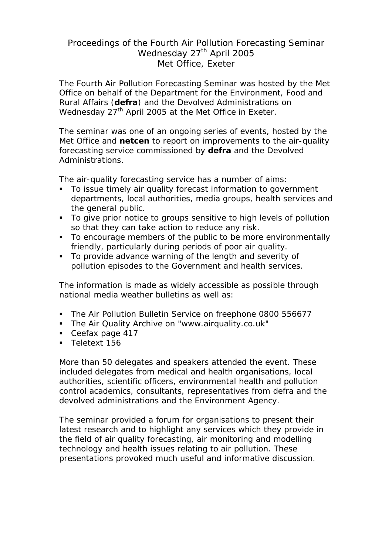# Proceedings of the Fourth Air Pollution Forecasting Seminar Wednesday 27<sup>th</sup> April 2005 Met Office, Exeter

The Fourth Air Pollution Forecasting Seminar was hosted by the Met Office on behalf of the Department for the Environment, Food and Rural Affairs (**defra**) and the Devolved Administrations on Wednesday  $27<sup>th</sup>$  April 2005 at the Met Office in Exeter.

The seminar was one of an ongoing series of events, hosted by the Met Office and **netcen** to report on improvements to the air-quality forecasting service commissioned by **defra** and the Devolved Administrations.

The air-quality forecasting service has a number of aims:

- To issue timely air quality forecast information to government departments, local authorities, media groups, health services and the general public.
- To give prior notice to groups sensitive to high levels of pollution so that they can take action to reduce any risk.
- To encourage members of the public to be more environmentally friendly, particularly during periods of poor air quality.
- To provide advance warning of the length and severity of pollution episodes to the Government and health services.

The information is made as widely accessible as possible through national media weather bulletins as well as:

- The Air Pollution Bulletin Service on freephone 0800 556677
- The Air Quality Archive on "www.airquality.co.uk"
- Ceefax page 417
- **Teletext 156**

More than 50 delegates and speakers attended the event. These included delegates from medical and health organisations, local authorities, scientific officers, environmental health and pollution control academics, consultants, representatives from defra and the devolved administrations and the Environment Agency.

The seminar provided a forum for organisations to present their latest research and to highlight any services which they provide in the field of air quality forecasting, air monitoring and modelling technology and health issues relating to air pollution. These presentations provoked much useful and informative discussion.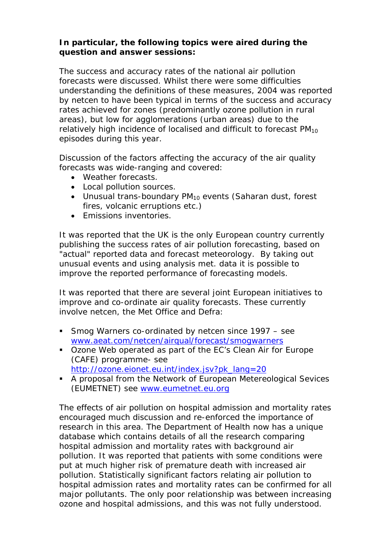### **In particular, the following topics were aired during the question and answer sessions:**

The success and accuracy rates of the national air pollution forecasts were discussed. Whilst there were some difficulties understanding the definitions of these measures, 2004 was reported by netcen to have been typical in terms of the success and accuracy rates achieved for zones (predominantly ozone pollution in rural areas), but low for agglomerations (urban areas) due to the relatively high incidence of localised and difficult to forecast  $PM_{10}$ episodes during this year.

Discussion of the factors affecting the accuracy of the air quality forecasts was wide-ranging and covered:

- Weather forecasts.
- Local pollution sources.
- Unusual trans-boundary  $PM_{10}$  events (Saharan dust, forest fires, volcanic erruptions etc.)
- Emissions inventories.

It was reported that the UK is the only European country currently publishing the success rates of air pollution forecasting, based on "actual" reported data and forecast meteorology. By taking out unusual events and using analysis met. data it is possible to improve the reported performance of forecasting models.

It was reported that there are several joint European initiatives to improve and co-ordinate air quality forecasts. These currently involve netcen, the Met Office and Defra:

- Smog Warners co-ordinated by netcen since 1997 see www.aeat.com/netcen/airqual/forecast/smogwarners
- Ozone Web operated as part of the EC's Clean Air for Europe (CAFE) programme- see http://ozone.eionet.eu.int/index.jsv?pk\_lang=20
- A proposal from the Network of European Metereological Sevices (EUMETNET) see www.eumetnet.eu.org

The effects of air pollution on hospital admission and mortality rates encouraged much discussion and re-enforced the importance of research in this area. The Department of Health now has a unique database which contains details of all the research comparing hospital admission and mortality rates with background air pollution. It was reported that patients with some conditions were put at much higher risk of premature death with increased air pollution. Statistically significant factors relating air pollution to hospital admission rates and mortality rates can be confirmed for all major pollutants. The only poor relationship was between increasing ozone and hospital admissions, and this was not fully understood.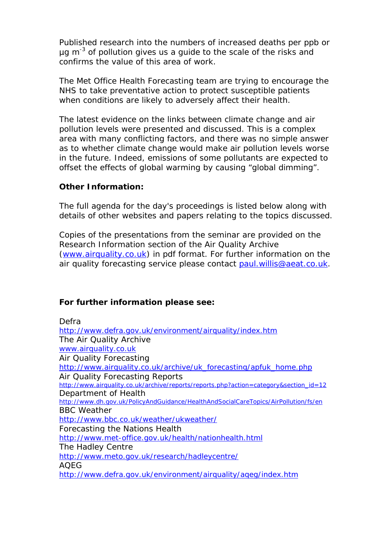Published research into the numbers of increased deaths per ppb or  $\mu$ g m<sup>-3</sup> of pollution gives us a guide to the scale of the risks and confirms the value of this area of work.

The Met Office Health Forecasting team are trying to encourage the NHS to take preventative action to protect susceptible patients when conditions are likely to adversely affect their health.

The latest evidence on the links between climate change and air pollution levels were presented and discussed. This is a complex area with many conflicting factors, and there was no simple answer as to whether climate change would make air pollution levels worse in the future. Indeed, emissions of some pollutants are expected to offset the effects of global warming by causing "global dimming".

### **Other Information:**

The full agenda for the day's proceedings is listed below along with details of other websites and papers relating to the topics discussed.

Copies of the presentations from the seminar are provided on the Research Information section of the Air Quality Archive (www.airquality.co.uk) in pdf format. For further information on the air quality forecasting service please contact paul.willis@aeat.co.uk.

## **For further information please see:**

| Defra                                                                                 |
|---------------------------------------------------------------------------------------|
| http://www.defra.gov.uk/environment/airquality/index.htm                              |
| The Air Quality Archive                                                               |
| www.airquality.co.uk                                                                  |
| Air Quality Forecasting                                                               |
| http://www.airquality.co.uk/archive/uk_forecasting/apfuk_home.php                     |
| Air Quality Forecasting Reports                                                       |
| http://www.airquality.co.uk/archive/reports/reports.php?action=category&section_id=12 |
| Department of Health                                                                  |
| http://www.dh.gov.uk/PolicyAndGuidance/HealthAndSocialCareTopics/AirPollution/fs/en   |
| <b>BBC</b> Weather                                                                    |
| http://www.bbc.co.uk/weather/ukweather/                                               |
| Forecasting the Nations Health                                                        |
| http://www.met-office.gov.uk/health/nationhealth.html                                 |
| The Hadley Centre                                                                     |
| http://www.meto.gov.uk/research/hadleycentre/                                         |
| AQEG                                                                                  |
| http://www.defra.gov.uk/environment/airquality/ageg/index.htm                         |